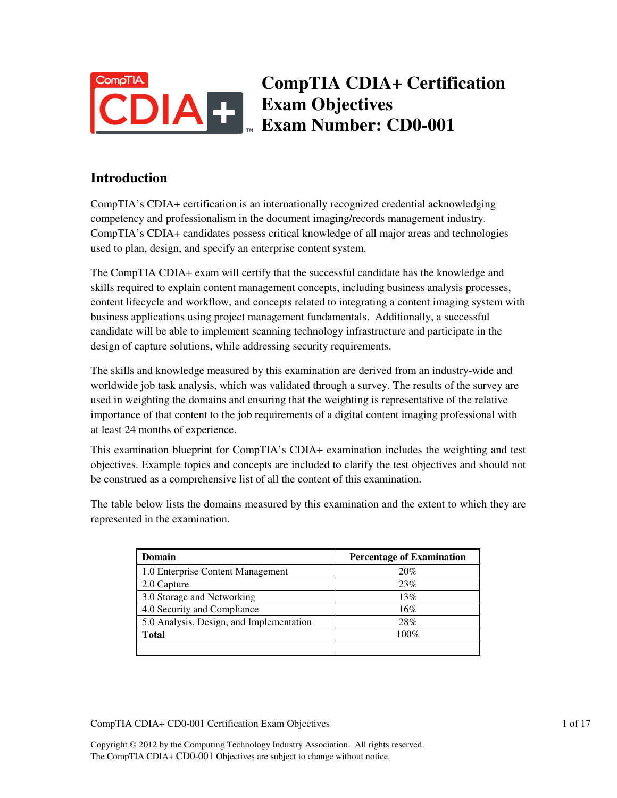

# **Introduction**

CompTIA's CDIA+ certification is an internationally recognized credential acknowledging competency and professionalism in the document imaging/records management industry. CompTIA's CDIA+ candidates possess critical knowledge of all major areas and technologies used to plan, design, and specify an enterprise content system.

The CompTIA CDIA+ exam will certify that the successful candidate has the knowledge and skills required to explain content management concepts, including business analysis processes, content lifecycle and workflow, and concepts related to integrating a content imaging system with business applications using project management fundamentals. Additionally, a successful candidate will be able to implement scanning technology infrastructure and participate in the design of capture solutions, while addressing security requirements.

The skills and knowledge measured by this examination are derived from an industry-wide and worldwide job task analysis, which was validated through a survey. The results of the survey are used in weighting the domains and ensuring that the weighting is representative of the relative importance of that content to the job requirements of a digital content imaging professional with at least 24 months of experience.

This examination blueprint for CompTIA's CDIA+ examination includes the weighting and test objectives. Example topics and concepts are included to clarify the test objectives and should not be construed as a comprehensive list of all the content of this examination.

The table below lists the domains measured by this examination and the extent to which they are represented in the examination.

| Domain                                   | <b>Percentage of Examination</b> |
|------------------------------------------|----------------------------------|
| 1.0 Enterprise Content Management        | 20%                              |
| 2.0 Capture                              | 23%                              |
| 3.0 Storage and Networking               | 13%                              |
| 4.0 Security and Compliance              | 16%                              |
| 5.0 Analysis, Design, and Implementation | 28%                              |
| <b>Total</b>                             | $100\%$                          |
|                                          |                                  |

CompTIA CDIA+ CD0-001 Certification Exam Objectives 1 of 17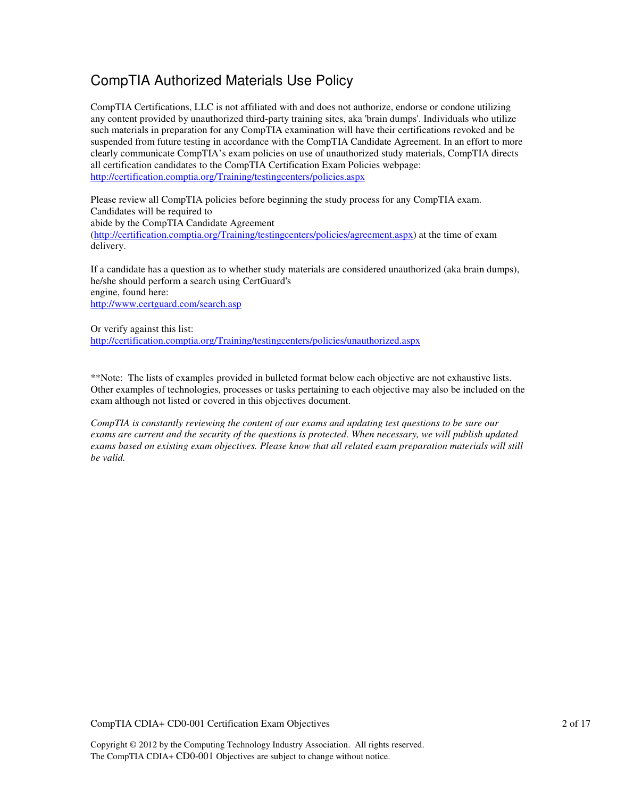# CompTIA Authorized Materials Use Policy

CompTIA Certifications, LLC is not affiliated with and does not authorize, endorse or condone utilizing any content provided by unauthorized third-party training sites, aka 'brain dumps'. Individuals who utilize such materials in preparation for any CompTIA examination will have their certifications revoked and be suspended from future testing in accordance with the CompTIA Candidate Agreement. In an effort to more clearly communicate CompTIA's exam policies on use of unauthorized study materials, CompTIA directs all certification candidates to the CompTIA Certification Exam Policies webpage: http://certification.comptia.org/Training/testingcenters/policies.aspx

Please review all CompTIA policies before beginning the study process for any CompTIA exam. Candidates will be required to abide by the CompTIA Candidate Agreement (http://certification.comptia.org/Training/testingcenters/policies/agreement.aspx) at the time of exam delivery.

If a candidate has a question as to whether study materials are considered unauthorized (aka brain dumps), he/she should perform a search using CertGuard's engine, found here: http://www.certguard.com/search.asp

Or verify against this list: http://certification.comptia.org/Training/testingcenters/policies/unauthorized.aspx

\*\*Note: The lists of examples provided in bulleted format below each objective are not exhaustive lists. Other examples of technologies, processes or tasks pertaining to each objective may also be included on the exam although not listed or covered in this objectives document.

*CompTIA is constantly reviewing the content of our exams and updating test questions to be sure our exams are current and the security of the questions is protected. When necessary, we will publish updated exams based on existing exam objectives. Please know that all related exam preparation materials will still be valid.*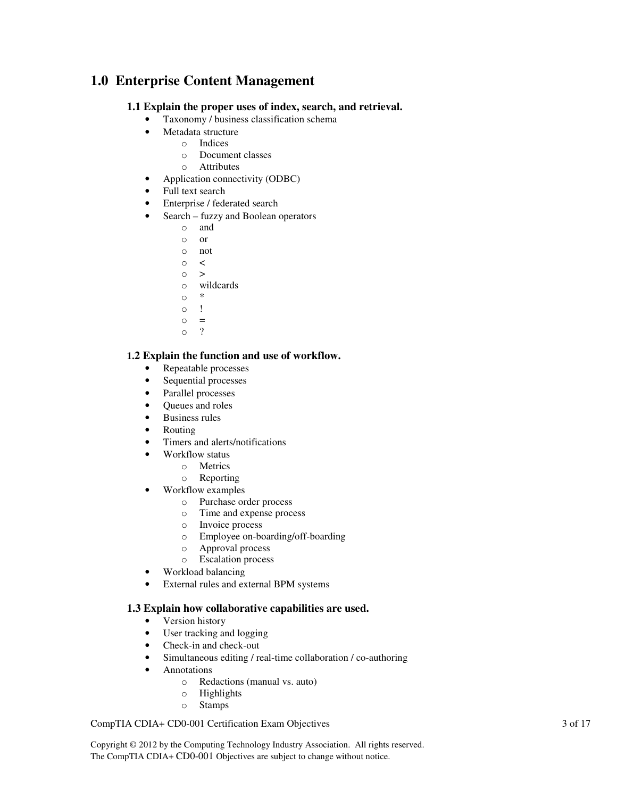# **1.0 Enterprise Content Management**

# **1.1 Explain the proper uses of index, search, and retrieval.**

- Taxonomy / business classification schema
- Metadata structure
	- o Indices
	- o Document classes
	- o Attributes
- Application connectivity (ODBC)
- Full text search
- Enterprise / federated search
- Search fuzzy and Boolean operators
	- o and
	- o or
	- o not
	- $\circ$   $\leq$
	- $\circ$  >
	- o wildcards
	- $\circ$
	- o !
	- $\circ$  =
	- o ?

# **1.2 Explain the function and use of workflow.**

- Repeatable processes
- Sequential processes
- Parallel processes
- Queues and roles
- Business rules
- Routing
- Timers and alerts/notifications
	- Workflow status
		- o Metrics
		- o Reporting
- Workflow examples
	- o Purchase order process
		- o Time and expense process
		- o Invoice process
		- o Employee on-boarding/off-boarding
		- o Approval process
		- o Escalation process
- Workload balancing
- External rules and external BPM systems

# **1.3 Explain how collaborative capabilities are used.**

- Version history
- User tracking and logging
- Check-in and check-out
- Simultaneous editing / real-time collaboration / co-authoring
- Annotations
	- o Redactions (manual vs. auto)
	- o Highlights
	- o Stamps

#### CompTIA CDIA+ CD0-001 Certification Exam Objectives 3 of 17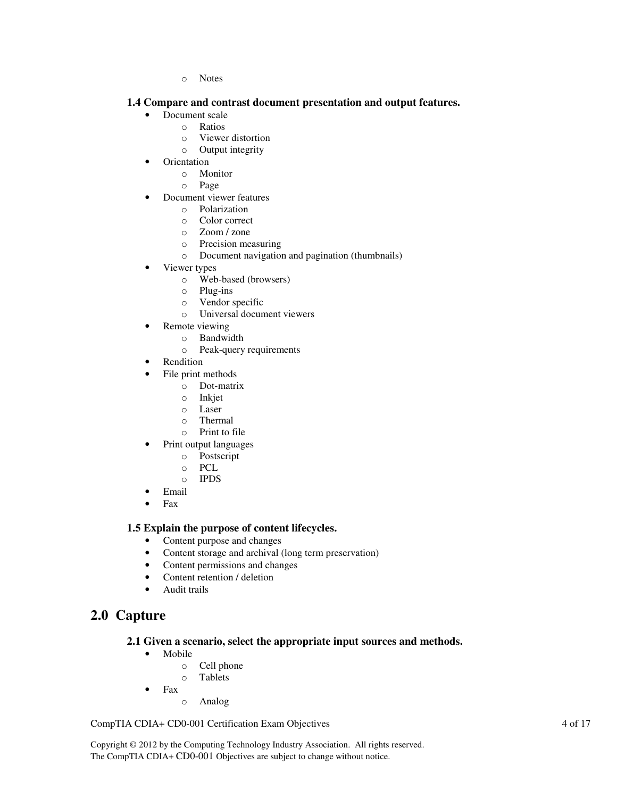o Notes

#### **1.4 Compare and contrast document presentation and output features.**

- Document scale
	- o Ratios
		- o Viewer distortion
		- o Output integrity
	- **Orientation** 
		- o Monitor
		- o Page
- Document viewer features
	- o Polarization
	- o Color correct
	- o Zoom / zone
	- o Precision measuring
	- o Document navigation and pagination (thumbnails)
- Viewer types
	- o Web-based (browsers)
	- o Plug-ins
	- o Vendor specific
	- o Universal document viewers
	- Remote viewing
		- o Bandwidth
		- o Peak-query requirements
- **Rendition**
- File print methods
	- o Dot-matrix
	- o Inkjet
	- o Laser
	- o Thermal
	- o Print to file
- Print output languages
	- o Postscript
	- o PCL
	- o IPDS
- Email
- Fax

# **1.5 Explain the purpose of content lifecycles.**

- Content purpose and changes
- Content storage and archival (long term preservation)
- Content permissions and changes
- Content retention / deletion
- Audit trails

# **2.0 Capture**

# **2.1 Given a scenario, select the appropriate input sources and methods.**

- Mobile
	- o Cell phone
	- o Tablets
- Fax
	- o Analog

CompTIA CDIA+ CD0-001 Certification Exam Objectives 4 of 17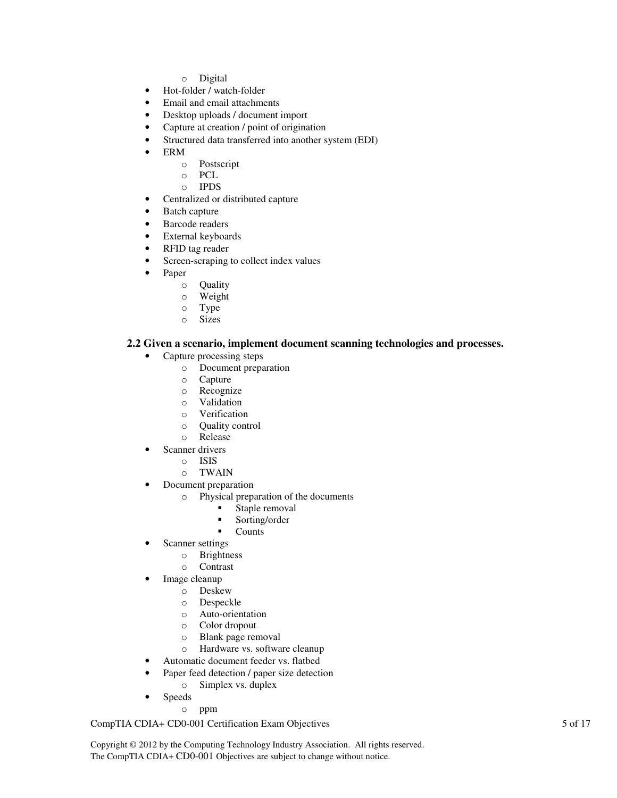- o Digital
- Hot-folder / watch-folder
- Email and email attachments
- Desktop uploads / document import
- Capture at creation / point of origination
- Structured data transferred into another system (EDI)
- ERM
	- o Postscript
	- o PCL
	- o IPDS
- Centralized or distributed capture
- Batch capture
- Barcode readers
- External keyboards
- RFID tag reader
- Screen-scraping to collect index values
- Paper
	- o Quality
	- o Weight
	- o Type
	- o Sizes

# **2.2 Given a scenario, implement document scanning technologies and processes.**

- Capture processing steps
	- o Document preparation
	- o Capture
	- o Recognize
	- o Validation
	- o Verification
	- o Quality control
	- o Release
- Scanner drivers
	- o ISIS
	- o TWAIN
- Document preparation
	- o Physical preparation of the documents
		- **Staple removal**
		- Sorting/order
		- Counts
	- Scanner settings
		- o Brightness
		- o Contrast
		- Image cleanup
			- o Deskew
			- o Despeckle
			- o Auto-orientation
			- o Color dropout
			- o Blank page removal
			- o Hardware vs. software cleanup
- Automatic document feeder vs. flatbed
- Paper feed detection / paper size detection
	- o Simplex vs. duplex
	- Speeds
		- o ppm

CompTIA CDIA+ CD0-001 Certification Exam Objectives 5 of 17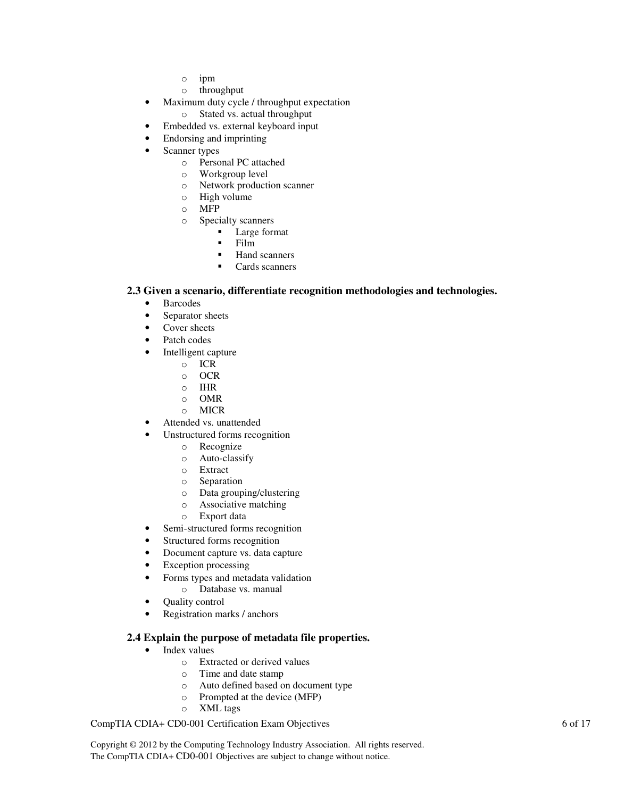- o ipm
- o throughput
- Maximum duty cycle / throughput expectation o Stated vs. actual throughput
- Embedded vs. external keyboard input
- Endorsing and imprinting
- Scanner types
	- o Personal PC attached
	- o Workgroup level
	- o Network production scanner
	- o High volume
	- o MFP
	- o Specialty scanners
		- $\blacksquare$  Large format
		- Film
		- **Hand scanners**
		- Cards scanners

#### **2.3 Given a scenario, differentiate recognition methodologies and technologies.**

- Barcodes
- Separator sheets
- Cover sheets
- Patch codes
- Intelligent capture
	- o ICR
	- o OCR
	- o IHR
	- o OMR
	- o MICR
- Attended vs. unattended
- Unstructured forms recognition
	- o Recognize
	- o Auto-classify
	- o Extract
	- o Separation
	- o Data grouping/clustering
	- o Associative matching
	- o Export data
- Semi-structured forms recognition
- Structured forms recognition
- Document capture vs. data capture
- Exception processing
- Forms types and metadata validation
	- o Database vs. manual
- Quality control
- Registration marks / anchors

#### **2.4 Explain the purpose of metadata file properties.**

- Index values
	- o Extracted or derived values
		- o Time and date stamp
		- o Auto defined based on document type
		- o Prompted at the device (MFP)
		- o XML tags

#### CompTIA CDIA+ CD0-001 Certification Exam Objectives 6 of 17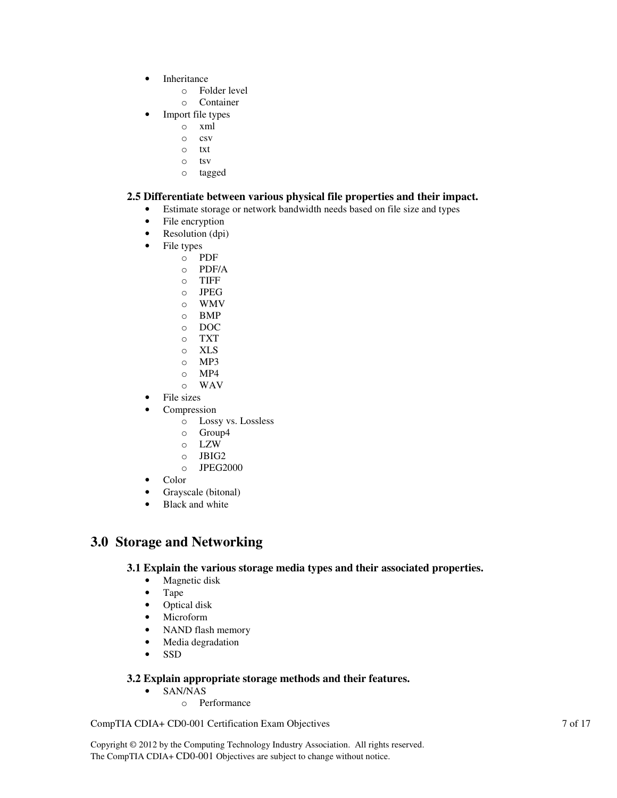- Inheritance
	- o Folder level
	- o Container
- Import file types
	- o xml
		- o csv
		- o txt
	- o tsv
	- o tagged

# **2.5 Differentiate between various physical file properties and their impact.**

- Estimate storage or network bandwidth needs based on file size and types
- File encryption
- Resolution (dpi)
- File types
	- o PDF
		- o PDF/A
		- o TIFF
		- o JPEG
		- o WMV
		- o BMP
		- o DOC
		- o TXT
		- o XLS o MP3
		- o MP4
		- o WAV
- File sizes
- **Compression** 
	- o Lossy vs. Lossless
	- o Group4
	- o LZW
	- o JBIG2
	- o JPEG2000
- Color
- Grayscale (bitonal)
- Black and white

# **3.0 Storage and Networking**

**3.1 Explain the various storage media types and their associated properties.** 

- Magnetic disk
- Tape
- Optical disk
- Microform
- NAND flash memory
- Media degradation
- SSD

# **3.2 Explain appropriate storage methods and their features.**

- SAN/NAS
	- o Performance

CompTIA CDIA+ CD0-001 Certification Exam Objectives 7 of 17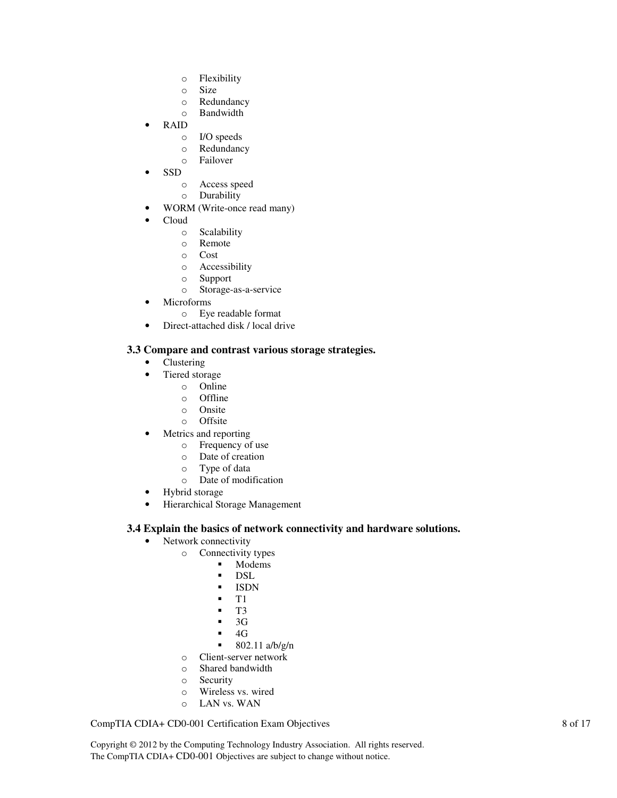- o Flexibility
- o Size
- o Redundancy
- o Bandwidth
- RAID
	- o I/O speeds
	- o Redundancy
	- o Failover
- SSD
	- o Access speed
	- o Durability
- WORM (Write-once read many)
- Cloud
	- o Scalability
	- o Remote
	- o Cost
	- o Accessibility
	- o Support
	- o Storage-as-a-service
- **Microforms** 
	- o Eye readable format
- Direct-attached disk / local drive

#### **3.3 Compare and contrast various storage strategies.**

- Clustering
- Tiered storage
	- o Online
		- o Offline
		- o Onsite
		- o Offsite
- Metrics and reporting
	- o Frequency of use
	- o Date of creation
	- o Type of data
	- o Date of modification
- Hybrid storage
- Hierarchical Storage Management

#### **3.4 Explain the basics of network connectivity and hardware solutions.**

- Network connectivity
	- o Connectivity types
		- Modems
		- **DSL**
		- **ISDN**
		- T1
		- $-T3$
		- $-3G$
		- $-4G$
		- $\blacksquare$  802.11 a/b/g/n
	- o Client-server network
	- o Shared bandwidth
	- o Security
	- o Wireless vs. wired
	- o LAN vs. WAN

#### CompTIA CDIA+ CD0-001 Certification Exam Objectives 8 of 17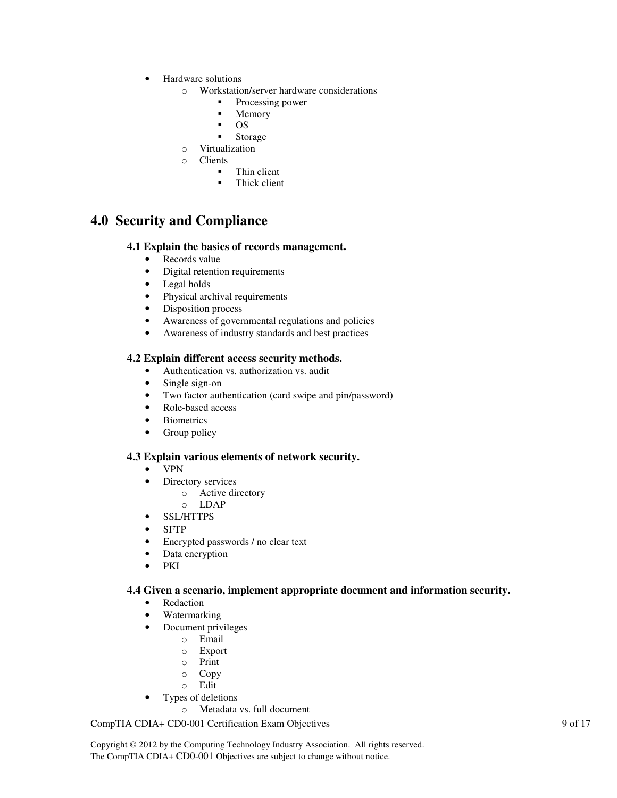- Hardware solutions
	- o Workstation/server hardware considerations
		- Processing power
		- **Memory**
		- $\overline{\phantom{a}}$  OS
		- **Storage**
	- o Virtualization
	- o Clients
		- Thin client
		- Thick client

# **4.0 Security and Compliance**

# **4.1 Explain the basics of records management.**

- Records value
- Digital retention requirements
- Legal holds
- Physical archival requirements
- Disposition process
- Awareness of governmental regulations and policies
- Awareness of industry standards and best practices

# **4.2 Explain different access security methods.**

- Authentication vs. authorization vs. audit
- Single sign-on
- Two factor authentication (card swipe and pin/password)
- Role-based access
- Biometrics
- Group policy

# **4.3 Explain various elements of network security.**

- VPN
- Directory services
	- o Active directory
	- o LDAP
- SSL/HTTPS
- SFTP
- Encrypted passwords / no clear text
- Data encryption
- PKI

# **4.4 Given a scenario, implement appropriate document and information security.**

- Redaction
- Watermarking
- Document privileges
	- o Email
	- o Export
	- o Print
	- o Copy
	- o Edit
- Types of deletions
	- o Metadata vs. full document

CompTIA CDIA+ CD0-001 Certification Exam Objectives 9 of 17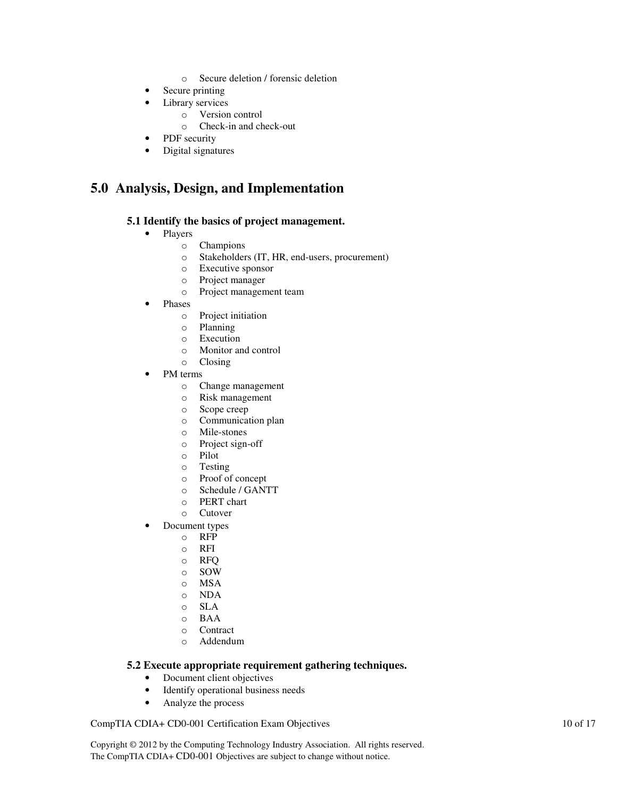- o Secure deletion / forensic deletion
- Secure printing
- Library services
	- o Version control
	- o Check-in and check-out
- PDF security
- Digital signatures

# **5.0 Analysis, Design, and Implementation**

#### **5.1 Identify the basics of project management.**

- Players
	- o Champions
	- o Stakeholders (IT, HR, end-users, procurement)
	- o Executive sponsor
	- o Project manager
	- o Project management team
- **Phases** 
	- o Project initiation
	- o Planning
	- o Execution
	- o Monitor and control
	- o Closing
- PM terms
	- o Change management
	- o Risk management
	- o Scope creep
	- o Communication plan
	- o Mile-stones
	- o Project sign-off
	- o Pilot
	- o Testing
	- o Proof of concept
	- o Schedule / GANTT
	- o PERT chart
	- o Cutover
- Document types
	- o RFP
	- o RFI
	- o RFQ
	- o SOW
	- o MSA
	- o NDA
	- o SLA
	- o BAA
	- o Contract
	- o Addendum

# **5.2 Execute appropriate requirement gathering techniques.**

- Document client objectives
- Identify operational business needs
- Analyze the process

#### CompTIA CDIA+ CD0-001 Certification Exam Objectives 10 of 17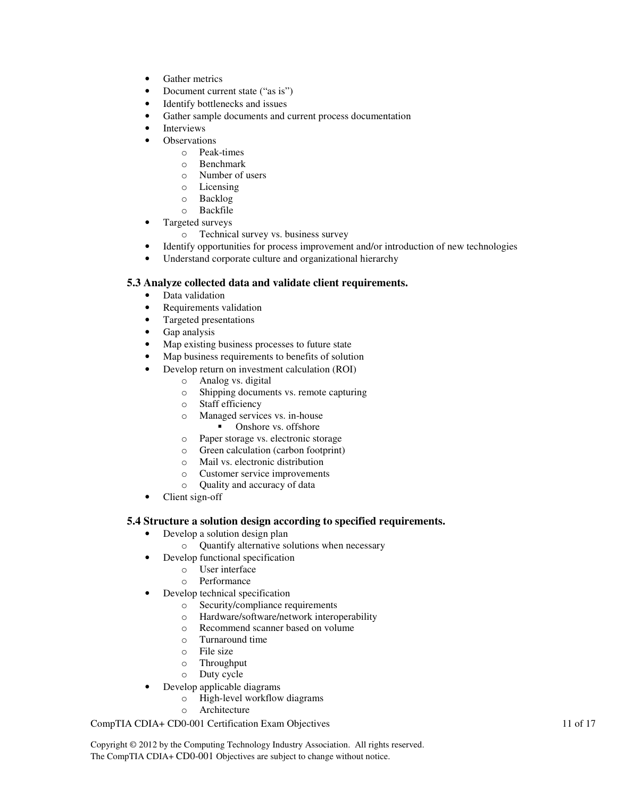- Gather metrics
- Document current state ("as is")
- Identify bottlenecks and issues
- Gather sample documents and current process documentation
- **Interviews**
- Observations
	- o Peak-times
	- o Benchmark
	- o Number of users
	- o Licensing
	- o Backlog
	- o Backfile
- Targeted surveys
	- o Technical survey vs. business survey
	- Identify opportunities for process improvement and/or introduction of new technologies
- Understand corporate culture and organizational hierarchy

# **5.3 Analyze collected data and validate client requirements.**

- Data validation
- Requirements validation
- Targeted presentations
- Gap analysis
- Map existing business processes to future state
- Map business requirements to benefits of solution
- Develop return on investment calculation (ROI)
	- o Analog vs. digital
	- o Shipping documents vs. remote capturing
	- o Staff efficiency
	- o Managed services vs. in-house
		- Onshore vs. offshore
	- o Paper storage vs. electronic storage
	- o Green calculation (carbon footprint)
	- o Mail vs. electronic distribution
	- o Customer service improvements
	- o Quality and accuracy of data
- Client sign-off

# **5.4 Structure a solution design according to specified requirements.**

- Develop a solution design plan
	- o Quantify alternative solutions when necessary
- Develop functional specification
	- o User interface
	- o Performance
- Develop technical specification
	- o Security/compliance requirements
	- o Hardware/software/network interoperability
	- o Recommend scanner based on volume
	- o Turnaround time
	- o File size
	- o Throughput
	- o Duty cycle
- Develop applicable diagrams
	- o High-level workflow diagrams
	- o Architecture

#### CompTIA CDIA+ CD0-001 Certification Exam Objectives 11 of 17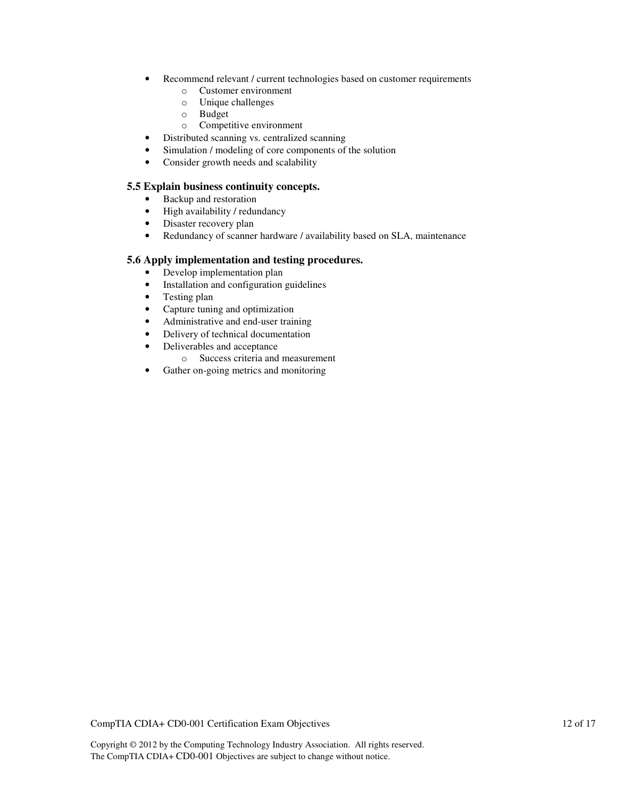- Recommend relevant / current technologies based on customer requirements
	- o Customer environment
	- o Unique challenges
	- o Budget
	- o Competitive environment
- Distributed scanning vs. centralized scanning
- Simulation / modeling of core components of the solution
- Consider growth needs and scalability

#### **5.5 Explain business continuity concepts.**

- Backup and restoration
- High availability / redundancy<br>• Disaster recovery plan
- Disaster recovery plan
- Redundancy of scanner hardware / availability based on SLA, maintenance

#### **5.6 Apply implementation and testing procedures.**

- Develop implementation plan
- Installation and configuration guidelines
- Testing plan
- Capture tuning and optimization
- Administrative and end-user training
- Delivery of technical documentation
- Deliverables and acceptance
	- o Success criteria and measurement
- Gather on-going metrics and monitoring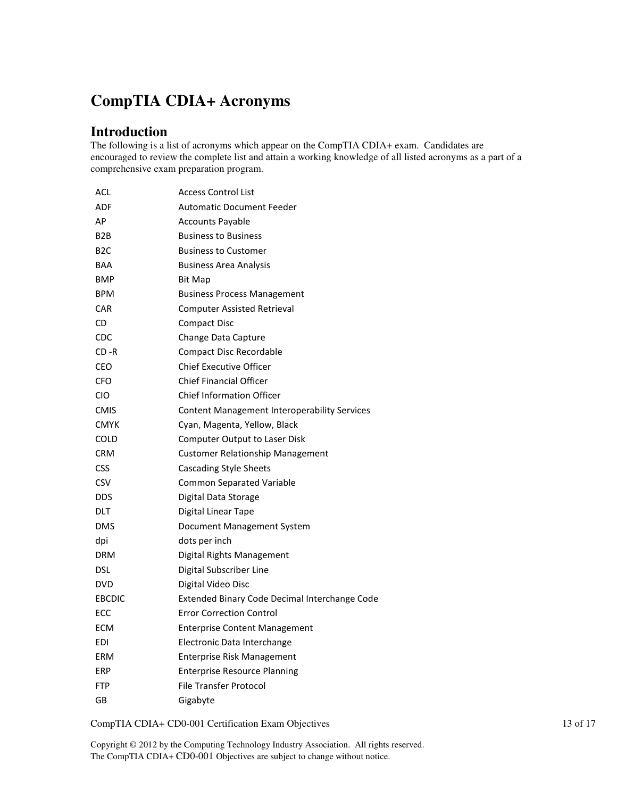# **CompTIA CDIA+ Acronyms**

# **Introduction**

The following is a list of acronyms which appear on the CompTIA CDIA+ exam. Candidates are encouraged to review the complete list and attain a working knowledge of all listed acronyms as a part of a comprehensive exam preparation program.

| <b>ACL</b>       | <b>Access Control List</b>                          |
|------------------|-----------------------------------------------------|
| <b>ADF</b>       | <b>Automatic Document Feeder</b>                    |
| АP               | <b>Accounts Payable</b>                             |
| B <sub>2</sub> B | <b>Business to Business</b>                         |
| B <sub>2</sub> C | <b>Business to Customer</b>                         |
| <b>BAA</b>       | <b>Business Area Analysis</b>                       |
| BMP              | Bit Map                                             |
| <b>BPM</b>       | <b>Business Process Management</b>                  |
| <b>CAR</b>       | <b>Computer Assisted Retrieval</b>                  |
| <b>CD</b>        | <b>Compact Disc</b>                                 |
| CDC              | Change Data Capture                                 |
| $CD - R$         | Compact Disc Recordable                             |
| CEO              | <b>Chief Executive Officer</b>                      |
| <b>CFO</b>       | <b>Chief Financial Officer</b>                      |
| <b>CIO</b>       | <b>Chief Information Officer</b>                    |
| <b>CMIS</b>      | <b>Content Management Interoperability Services</b> |
| CMYK             | Cyan, Magenta, Yellow, Black                        |
| COLD             | <b>Computer Output to Laser Disk</b>                |
| <b>CRM</b>       | <b>Customer Relationship Management</b>             |
| <b>CSS</b>       | <b>Cascading Style Sheets</b>                       |
| CSV              | <b>Common Separated Variable</b>                    |
| <b>DDS</b>       | Digital Data Storage                                |
| DLT              | Digital Linear Tape                                 |
| <b>DMS</b>       | Document Management System                          |
| dpi              | dots per inch                                       |
| <b>DRM</b>       | Digital Rights Management                           |
| DSL              | Digital Subscriber Line                             |
| <b>DVD</b>       | Digital Video Disc                                  |
| <b>EBCDIC</b>    | Extended Binary Code Decimal Interchange Code       |
| ECC              | <b>Error Correction Control</b>                     |
| <b>ECM</b>       | <b>Enterprise Content Management</b>                |
| EDI              | Electronic Data Interchange                         |
| <b>ERM</b>       | Enterprise Risk Management                          |
| ERP              | <b>Enterprise Resource Planning</b>                 |
| <b>FTP</b>       | <b>File Transfer Protocol</b>                       |
| GB               | Gigabyte                                            |

CompTIA CDIA+ CD0-001 Certification Exam Objectives 13 of 17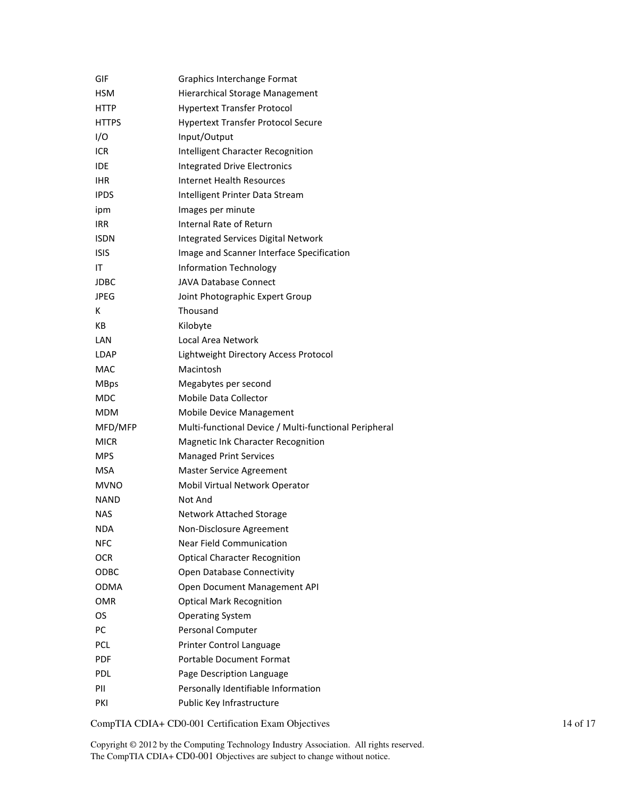| GIF          | Graphics Interchange Format                           |
|--------------|-------------------------------------------------------|
| <b>HSM</b>   | <b>Hierarchical Storage Management</b>                |
| <b>HTTP</b>  | <b>Hypertext Transfer Protocol</b>                    |
| <b>HTTPS</b> | <b>Hypertext Transfer Protocol Secure</b>             |
| I/O          | Input/Output                                          |
| ICR          | Intelligent Character Recognition                     |
| IDE          | <b>Integrated Drive Electronics</b>                   |
| IHR.         | Internet Health Resources                             |
| <b>IPDS</b>  | Intelligent Printer Data Stream                       |
| ipm          | Images per minute                                     |
| <b>IRR</b>   | <b>Internal Rate of Return</b>                        |
| <b>ISDN</b>  | <b>Integrated Services Digital Network</b>            |
| <b>ISIS</b>  | Image and Scanner Interface Specification             |
| ΙT           | <b>Information Technology</b>                         |
| <b>JDBC</b>  | <b>JAVA Database Connect</b>                          |
| JPEG         | Joint Photographic Expert Group                       |
| к            | Thousand                                              |
| КB           | Kilobyte                                              |
| LAN          | Local Area Network                                    |
| <b>LDAP</b>  | Lightweight Directory Access Protocol                 |
| MAC          | Macintosh                                             |
| <b>MBps</b>  | Megabytes per second                                  |
| MDC          | Mobile Data Collector                                 |
| <b>MDM</b>   | <b>Mobile Device Management</b>                       |
| MFD/MFP      | Multi-functional Device / Multi-functional Peripheral |
| <b>MICR</b>  | <b>Magnetic Ink Character Recognition</b>             |
| <b>MPS</b>   | <b>Managed Print Services</b>                         |
| MSA          | <b>Master Service Agreement</b>                       |
| <b>MVNO</b>  | Mobil Virtual Network Operator                        |
| <b>NAND</b>  | Not And                                               |
| <b>NAS</b>   | <b>Network Attached Storage</b>                       |
| <b>NDA</b>   | Non-Disclosure Agreement                              |
| <b>NFC</b>   | Near Field Communication                              |
| OCR          | <b>Optical Character Recognition</b>                  |
| ODBC         | Open Database Connectivity                            |
| <b>ODMA</b>  | Open Document Management API                          |
| OMR          | <b>Optical Mark Recognition</b>                       |
| OS           | <b>Operating System</b>                               |
| PС           | Personal Computer                                     |
| <b>PCL</b>   | Printer Control Language                              |
| <b>PDF</b>   | <b>Portable Document Format</b>                       |
| PDL          | Page Description Language                             |
| PII          | Personally Identifiable Information                   |
| PKI          | Public Key Infrastructure                             |
|              |                                                       |

CompTIA CDIA+ CD0-001 Certification Exam Objectives 14 of 17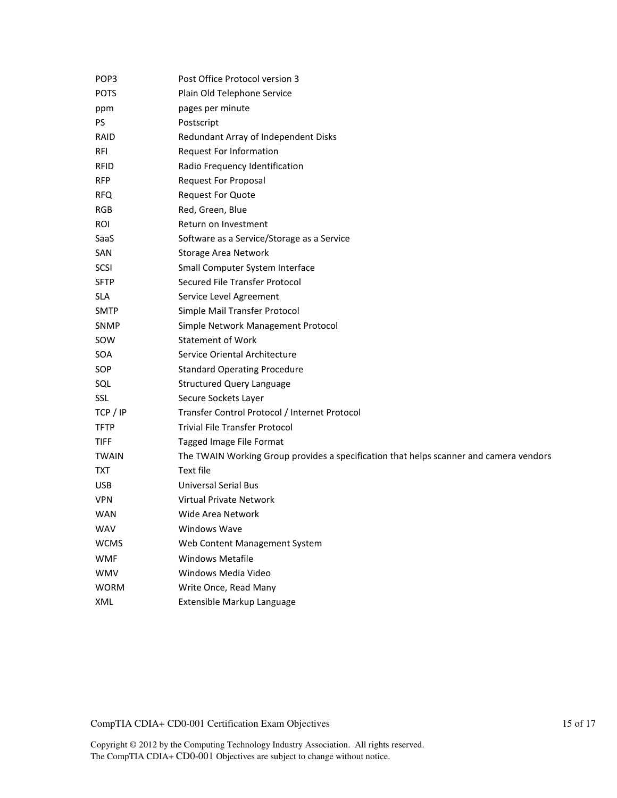| POP3         | Post Office Protocol version 3                                                         |
|--------------|----------------------------------------------------------------------------------------|
| <b>POTS</b>  | Plain Old Telephone Service                                                            |
| ppm          | pages per minute                                                                       |
| PS           | Postscript                                                                             |
| RAID         | Redundant Array of Independent Disks                                                   |
| RFI          | <b>Request For Information</b>                                                         |
| <b>RFID</b>  | Radio Frequency Identification                                                         |
| <b>RFP</b>   | <b>Request For Proposal</b>                                                            |
| <b>RFQ</b>   | <b>Request For Quote</b>                                                               |
| <b>RGB</b>   | Red, Green, Blue                                                                       |
| <b>ROI</b>   | Return on Investment                                                                   |
| SaaS         | Software as a Service/Storage as a Service                                             |
| SAN          | Storage Area Network                                                                   |
| <b>SCSI</b>  | Small Computer System Interface                                                        |
| <b>SFTP</b>  | Secured File Transfer Protocol                                                         |
| <b>SLA</b>   | Service Level Agreement                                                                |
| <b>SMTP</b>  | Simple Mail Transfer Protocol                                                          |
| <b>SNMP</b>  | Simple Network Management Protocol                                                     |
| SOW          | <b>Statement of Work</b>                                                               |
| SOA          | Service Oriental Architecture                                                          |
| SOP          | <b>Standard Operating Procedure</b>                                                    |
| SQL          | <b>Structured Query Language</b>                                                       |
| <b>SSL</b>   | Secure Sockets Layer                                                                   |
| TCP / IP     | Transfer Control Protocol / Internet Protocol                                          |
| <b>TFTP</b>  | <b>Trivial File Transfer Protocol</b>                                                  |
| TIFF         | Tagged Image File Format                                                               |
| <b>TWAIN</b> | The TWAIN Working Group provides a specification that helps scanner and camera vendors |
| тхт          | Text file                                                                              |
| <b>USB</b>   | <b>Universal Serial Bus</b>                                                            |
| <b>VPN</b>   | Virtual Private Network                                                                |
| <b>WAN</b>   | Wide Area Network                                                                      |
| WAV          | Windows Wave                                                                           |
| <b>WCMS</b>  | Web Content Management System                                                          |
| <b>WMF</b>   | <b>Windows Metafile</b>                                                                |
| <b>WMV</b>   | Windows Media Video                                                                    |
| <b>WORM</b>  | Write Once, Read Many                                                                  |
| XML          | Extensible Markup Language                                                             |

CompTIA CDIA+ CD0-001 Certification Exam Objectives 15 of 17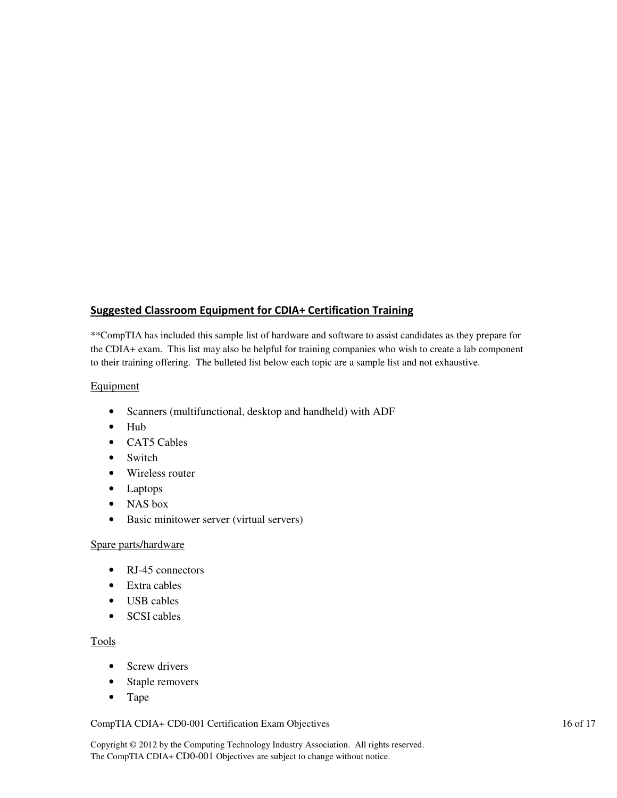# Suggested Classroom Equipment for CDIA+ Certification Training

\*\*CompTIA has included this sample list of hardware and software to assist candidates as they prepare for the CDIA+ exam. This list may also be helpful for training companies who wish to create a lab component to their training offering. The bulleted list below each topic are a sample list and not exhaustive.

# **Equipment**

- Scanners (multifunctional, desktop and handheld) with ADF
- Hub
- CAT5 Cables
- Switch
- Wireless router
- Laptops
- NAS box
- Basic minitower server (virtual servers)

# Spare parts/hardware

- RJ-45 connectors
- Extra cables
- USB cables
- SCSI cables

# Tools

- Screw drivers
- Staple removers
- Tape

#### CompTIA CDIA+ CD0-001 Certification Exam Objectives 16 of 17